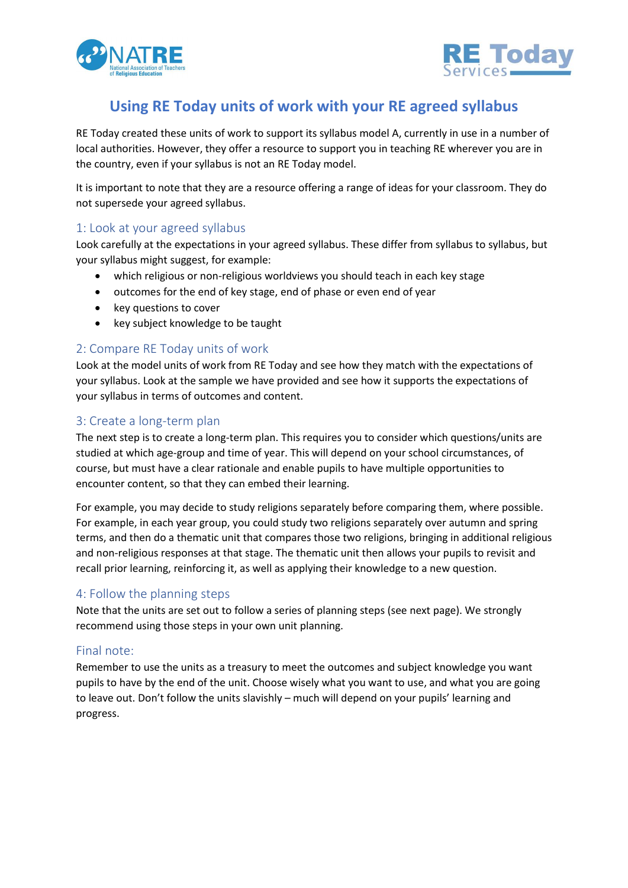



# **Using RE Today units of work with your RE agreed syllabus**

RE Today created these units of work to support its syllabus model A, currently in use in a number of local authorities. However, they offer a resource to support you in teaching RE wherever you are in the country, even if your syllabus is not an RE Today model.

It is important to note that they are a resource offering a range of ideas for your classroom. They do not supersede your agreed syllabus.

#### 1: Look at your agreed syllabus

Look carefully at the expectations in your agreed syllabus. These differ from syllabus to syllabus, but your syllabus might suggest, for example:

- which religious or non-religious worldviews you should teach in each key stage
- outcomes for the end of key stage, end of phase or even end of year
- key questions to cover
- key subject knowledge to be taught

# 2: Compare RE Today units of work

Look at the model units of work from RE Today and see how they match with the expectations of your syllabus. Look at the sample we have provided and see how it supports the expectations of your syllabus in terms of outcomes and content.

#### 3: Create a long-term plan

The next step is to create a long-term plan. This requires you to consider which questions/units are studied at which age-group and time of year. This will depend on your school circumstances, of course, but must have a clear rationale and enable pupils to have multiple opportunities to encounter content, so that they can embed their learning.

For example, you may decide to study religions separately before comparing them, where possible. For example, in each year group, you could study two religions separately over autumn and spring terms, and then do a thematic unit that compares those two religions, bringing in additional religious and non-religious responses at that stage. The thematic unit then allows your pupils to revisit and recall prior learning, reinforcing it, as well as applying their knowledge to a new question.

## 4: Follow the planning steps

Note that the units are set out to follow a series of planning steps (see next page). We strongly recommend using those steps in your own unit planning.

## Final note:

Remember to use the units as a treasury to meet the outcomes and subject knowledge you want pupils to have by the end of the unit. Choose wisely what you want to use, and what you are going to leave out. Don't follow the units slavishly – much will depend on your pupils' learning and progress.